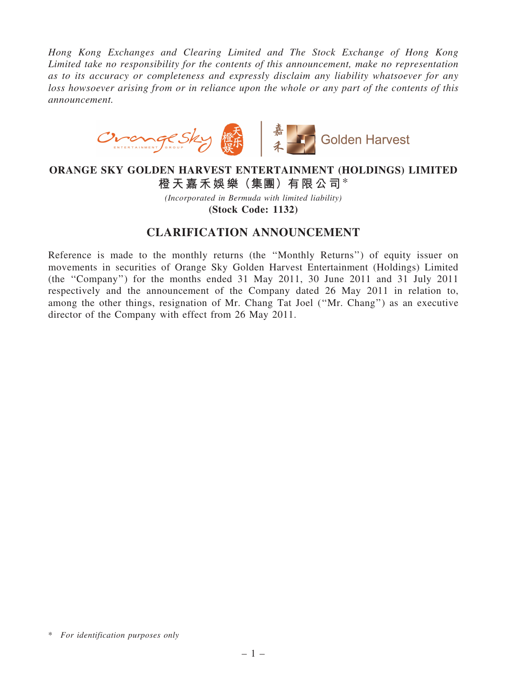Hong Kong Exchanges and Clearing Limited and The Stock Exchange of Hong Kong Limited take no responsibility for the contents of this announcement, make no representation as to its accuracy or completeness and expressly disclaim any liability whatsoever for any loss howsoever arising from or in reliance upon the whole or any part of the contents of this announcement.



ORANGE SKY GOLDEN HARVEST ENTERTAINMENT (HOLDINGS) LIMITED 橙天嘉禾娛樂(集團)有限公司\*

> (Incorporated in Bermuda with limited liability) (Stock Code: 1132)

## CLARIFICATION ANNOUNCEMENT

Reference is made to the monthly returns (the ''Monthly Returns'') of equity issuer on movements in securities of Orange Sky Golden Harvest Entertainment (Holdings) Limited (the ''Company'') for the months ended 31 May 2011, 30 June 2011 and 31 July 2011 respectively and the announcement of the Company dated 26 May 2011 in relation to, among the other things, resignation of Mr. Chang Tat Joel (''Mr. Chang'') as an executive director of the Company with effect from 26 May 2011.

<sup>\*</sup> For identification purposes only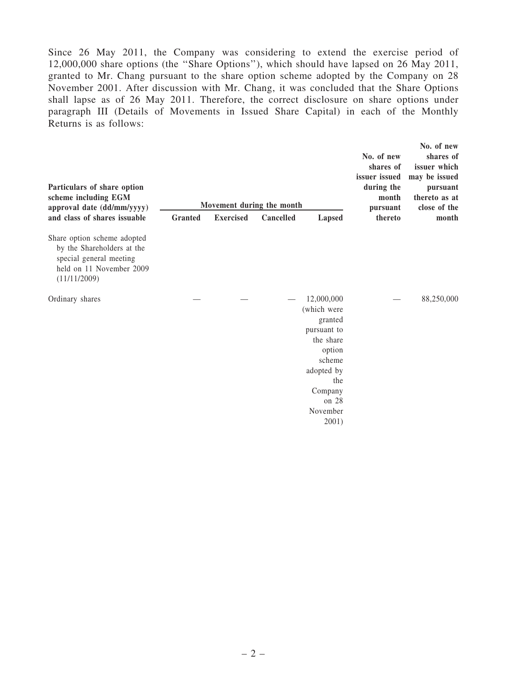Since 26 May 2011, the Company was considering to extend the exercise period of 12,000,000 share options (the ''Share Options''), which should have lapsed on 26 May 2011, granted to Mr. Chang pursuant to the share option scheme adopted by the Company on 28 November 2001. After discussion with Mr. Chang, it was concluded that the Share Options shall lapse as of 26 May 2011. Therefore, the correct disclosure on share options under paragraph III (Details of Movements in Issued Share Capital) in each of the Monthly Returns is as follows:

| Particulars of share option<br>scheme including EGM<br>approval date (dd/mm/yyyy)<br>and class of shares issuable                | <b>Granted</b> | Movement during the month<br><b>Exercised</b> | Cancelled | Lapsed                                                                                                                                             | No. of new<br>shares of<br>issuer issued<br>during the<br>month<br>pursuant<br>thereto | No. of new<br>shares of<br>issuer which<br>may be issued<br>pursuant<br>thereto as at<br>close of the<br>month |
|----------------------------------------------------------------------------------------------------------------------------------|----------------|-----------------------------------------------|-----------|----------------------------------------------------------------------------------------------------------------------------------------------------|----------------------------------------------------------------------------------------|----------------------------------------------------------------------------------------------------------------|
| Share option scheme adopted<br>by the Shareholders at the<br>special general meeting<br>held on 11 November 2009<br>(11/11/2009) |                |                                               |           |                                                                                                                                                    |                                                                                        |                                                                                                                |
| Ordinary shares                                                                                                                  |                |                                               |           | 12,000,000<br>(which were<br>granted<br>pursuant to<br>the share<br>option<br>scheme<br>adopted by<br>the<br>Company<br>on 28<br>November<br>2001) |                                                                                        | 88,250,000                                                                                                     |